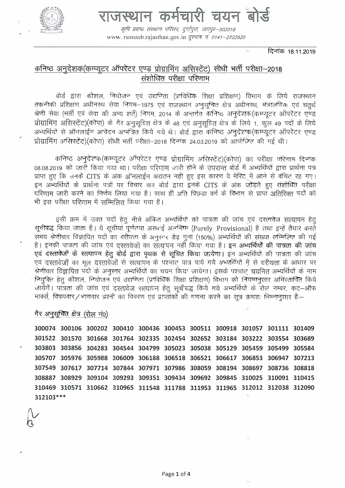

राजस्थान कर्मचारी चयन बोर्ड

कृषि प्रबन्धः संस्थान परिसरः, दुर्गापुराः, जयपुर–302018 www.rsmsssb.rajasthan.gov.in क्स्माप नं 0141-2722520

दिनांक 18.11.2019

# कनिष्ठ अनुदेशक(कम्प्यूटर ऑपरेटर एण्ड प्रोग्रामिंग असिस्टेंट) सीधी भर्ती परीक्षा-2018 संशोधित परीक्षा परिणाम

बोर्ड द्वारा कौशल, नियोजन एवं उद्यमिता (प्राविधिक शिक्षा प्रशिक्षण) विभाग के लिये राजस्थान तकनीकी प्रशिक्षण अधीनस्थ सेवा नियम-1975 एवं राजस्थान अनुसूचित क्षेत्र अधीनस्थ, मंत्रालयिक एवं चतुर्थ श्रेणी सेवा (भर्ती एवं सेवा की अन्य शर्ते) नियम, 2014 के अन्तर्गत कनिष्ठ अनुदेशक(कम्प्यूटर ऑपरेटर एण्ड प्रोग्रामिंग असिर्स्टेट)(कोपा) के गैर अनुसूचित क्षेत्र के 48 एवं अनुसूचित क्षेत्र के लिये 1, कूल 49 पदों के लिये अभ्यर्थियों से ऑनलाईन आवेदन आमंत्रित किये गये थे। बोर्ड द्वारा कनिष्ठ अनुदेशक(कम्प्युटर ऑपरेटर एण्ड प्रोग्रामिंग असिस्टेंट)(कोपा) सीधी भर्ती परीक्षा-2018 दिनांक 24.03.2019 को आयोजित की गई थी।

कनिष्ठ अनुदेशक(कम्प्युटर ऑपरेटर एण्ड प्रोग्रामिंग असिरटेंट)(कोपा) का परीक्षा परिणाम दिनांक 08.08.2019 को जारी किया गया था। परीक्षा परिणाम जारी होने के उपरान्त बोर्ड में अभ्यर्थियों द्वारा प्रार्थना पत्र प्राप्त हुए कि उनके CITS के अंक ऑनलाईन अद्यतन नही हुए इस कारण वे मेरिट में आने से वंचित रह गए। इन अभ्यर्थियों के प्रार्थना पत्रों पर विचार कर बोर्ड द्वारा इनके CITS के अंक जोडते हुए संशोधित परीक्षा परिणाम जारी करने का निर्णय लिया गया है। साथ ही अति पिछड़ा वर्ग के विभाग से प्राप्त अतिरिक्त पदों को भी इस परीक्षा परिणाम में सम्मिलित किया गया हैं।

इसी क्रम में उक्त पदों हेतु नीचे अंकित अभ्यर्थियो को पात्रता की जांच एवं दस्तावेज सत्यापन हेतु सूचीबद्ध किया जाता है। ये सूचीयां पूर्णतया अस्थाई अनन्तिम (Purely Provisional) है तथा इन्हें तैयार करते समय श्रेणीवार विज्ञापित पदों का वरीयता के अनुसार डेढ गुना (150%) अभ्यर्थियों की संख्या सम्मिलित की गई है। इनकी पात्रता की जांच एवं दस्तावेजों का सत्यापन नहीं किया गया है। इन अभ्यर्थियों की पात्रता की जांच एवं दस्तावेजों के सत्यापन हेतु बोर्ड द्वारा पृथक से सूचित किया जायेगा। इन अभ्यर्थियों की पात्रता की जांच एवं दस्तावेजों का मूल दस्तावेजों से सत्यापन के पश्चात पात्र पाये गये अभ्यर्थियों में से वरीयता के आधार पर श्रेणीवार विज्ञापित पदों के अनुसार अभ्यर्थियों का चयन किया जायेगा। इसके पश्चात चयनित अभ्यर्थियों के नाम नियुक्ति हेतू कौशल, नियोजन एवं उद्यमिता (प्राविधिक शिक्षा प्रशिक्षण) विभाग को नियमानुसार अभिरतावित किये जायेगें। पात्रता की जांच एवं दस्तावेज सत्यापन हेतू सूचीबद्ध किये गये अभ्यर्थियों के रोल नम्बर, कट-ऑफ मार्क्स, विषयवार/भागवार प्रश्नों का विवरण एवं प्राप्तांकों की गणना करने का सूत्र क्रमशः निम्नानुसार हैं:-

गैर अनुसूचित क्षेत्र (रोल नं0)

300074 300106 300202 300410 300436 300453 300511 300918 301057 301111 301409 301522 301570 301668 301764 302335 302454 302652 303184 303222 303554 303689 303803 303856 304283 304544 304799 305023 305038 305129 305459 305499 305584 305707 305976 305988 306009 306188 306518 306521 306617 306853 306947 307213 307549 307617 307714 307844 307971 307986 308059 308194 308697 308736 308818 308887 308929 309104 309293 309351 309434 309692 309845 310025 310091 310415 310469 310571 310662 310965 311548 311788 311953 311965 312012 312038 312090 312103\*\*\*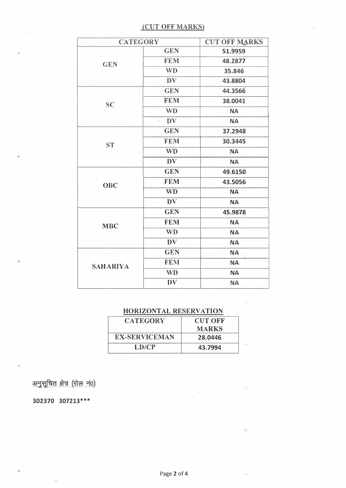## (CUT OFF MARKS)

| <b>CATEGORY</b> |                     | <b>CUT OFF MARKS</b> |
|-----------------|---------------------|----------------------|
| <b>GEN</b>      | <b>GEN</b>          | 51.9959              |
|                 | <b>FEM</b>          | 48.2877              |
|                 | <b>WD</b>           | 35.846               |
|                 | <b>DV</b>           | 43.8804              |
| <b>SC</b>       | <b>GEN</b>          | 44.3566              |
|                 | <b>FEM</b>          | 38.0041              |
|                 | <b>WD</b>           | <b>NA</b>            |
|                 | DV<br>$\mathcal{E}$ | <b>NA</b>            |
|                 | <b>GEN</b>          | 37.2948              |
| <b>ST</b>       | <b>FEM</b>          | 30.3445              |
|                 | <b>WD</b>           | <b>NA</b>            |
|                 | <b>DV</b>           | <b>NA</b>            |
|                 | <b>GEN</b>          | 49.6150              |
| OBC             | <b>FEM</b>          | 43.5056              |
|                 | <b>WD</b>           | <b>NA</b>            |
|                 | <b>DV</b>           | <b>NA</b>            |
| <b>MBC</b>      | <b>GEN</b>          | 45.9878              |
|                 | <b>FEM</b>          | <b>NA</b>            |
|                 | <b>WD</b>           | <b>NA</b>            |
|                 | <b>DV</b>           | <b>NA</b>            |
| <b>SAHARIYA</b> | <b>GEN</b>          | <b>NA</b>            |
|                 | <b>FEM</b>          | <b>NA</b>            |
|                 | <b>WD</b>           | <b>NA</b>            |
|                 | <b>DV</b>           | <b>NA</b>            |

## HORIZONTAL RESERVATION

| <b>CATEGORY</b>      | <b>CUT OFF</b><br><b>MARKS</b> |  |
|----------------------|--------------------------------|--|
| <b>EX-SERVICEMAN</b> | 28.0446                        |  |
| LDCP                 | 43.7994                        |  |

अनुसूचित क्षेत्र (रोल नं0)

302370 307213\*\*\*

'.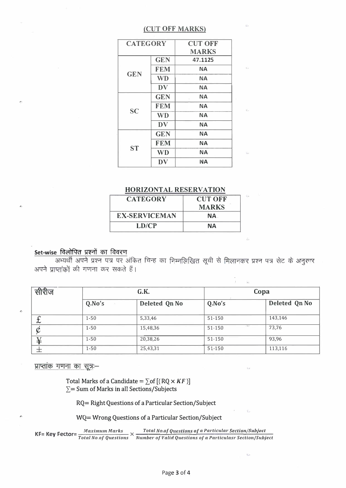### (CUT OFF MARKS)

| <b>CATEGORY</b> |            | <b>CUT OFF</b> |
|-----------------|------------|----------------|
|                 |            | <b>MARKS</b>   |
| <b>GEN</b>      | <b>GEN</b> | 47.1125        |
|                 | <b>FEM</b> | <b>NA</b>      |
|                 | <b>WD</b>  | <b>NA</b>      |
|                 | DV         | ΝA             |
| SC              | <b>GEN</b> | <b>NA</b>      |
|                 | <b>FEM</b> | <b>NA</b>      |
|                 | <b>WD</b>  | <b>NA</b>      |
|                 | DV         | <b>NA</b>      |
| <b>ST</b>       | <b>GEN</b> | <b>NA</b>      |
|                 | <b>FEM</b> | <b>NA</b>      |
|                 | <b>WD</b>  | <b>NA</b>      |
|                 | DV         | NА             |
|                 |            |                |

#### HORIZONTAL RESERVATION

| <b>CATEGORY</b>      | <b>CUT OFF</b> |  |
|----------------------|----------------|--|
|                      | <b>MARKS</b>   |  |
| <b>EX-SERVICEMAN</b> | NA.            |  |
| LD/CP                | NА             |  |

### Set-wise विलोपित प्रश्नों का विवरण

अभ्यर्थी अपने प्रश्न पत्र पर अंकित चिन्ह का निम्नलिखित सूची से मिलानकर प्रश्न पत्र सेट के अनुसार अपने प्राप्तांकों की गणना कर सकते हैं।

| सीरीज   | G.K.     |               | Copa   |               |
|---------|----------|---------------|--------|---------------|
|         | Q.No's   | Deleted Qn No | Q.No's | Deleted Qn No |
| ⌒<br>ىم | $1 - 50$ | 5,33,46       | 51-150 | 143,146       |
|         | $1 - 50$ | 15,48,36      | 51-150 | 73,76         |
| ิ่ัััั  | $1 - 50$ | 20,38,26      | 51-150 | 93,96         |
|         | $1 - 50$ | 25,43,31      | 51-150 | 113,116       |

प्राप्तांक गणना का सूत्र:–

Total Marks of a Candidate =  $\sum$  of [(RQ  $\times$  KF)]  $\Sigma$ = Sum of Marks in all Sections/Subjects

RQ= Right Questions of a Particular Section/Subject

WQ= Wrong Questions of a Particular Section/Subject

**KF= Key Fector=**  $\frac{Maximum \, Marks}{Total \, No. of \, Questions} \times \frac{Total \, No. of \, Questions \, of \, a \, Particular \, Section/Subject}$